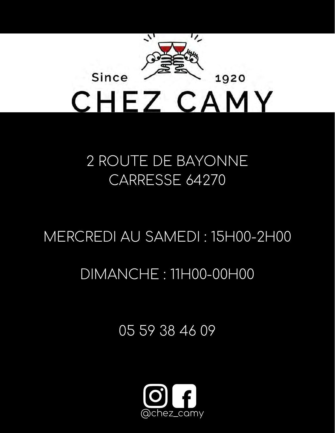

## 2 ROUTE DE BAYONNE CARRESSE 64270

## MERCREDI AU SAMEDI : 15H00-2H00

## DIMANCHE : 11H00-00H00

05 59 38 46 09

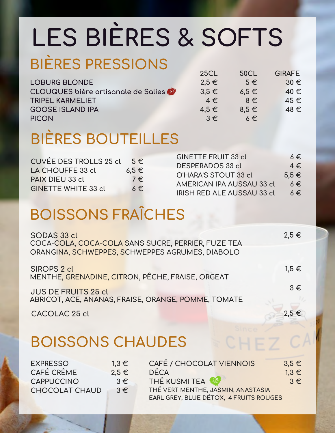# **LES BIÈRES & SOFTS**

## **BIÈRES PRESSIONS**

|                                     | ᅩᇰᇰᄂ      | <b>UUCL</b> | <b>UIIV-1</b> L |
|-------------------------------------|-----------|-------------|-----------------|
| <b>LOBURG BLONDE</b>                | $2.5 \in$ | $5 \in$     | $30 \in$        |
| CLOUQUES bière artisanale de Salies | $3.5 \in$ | $6.5 \in$   | $40 \in$        |
| <b>TRIPEL KARMELIET</b>             | $4 \in$   | $8 \in$     | $45 \in$        |
| <b>GOOSE ISLAND IPA</b>             | $4.5 \in$ | $8.5 \in$   | $48 \in$        |
| <b>PICON</b>                        | $3 \in$   | $6 \in$     |                 |
|                                     |           |             |                 |

 $25C$ 

**50CL**

CHEZ C

**GIRAFE**

## **BIÈRES BOUTEILLES**

| CUVÉE DES TROLLS 25 cl $5 \in$ |           | <b>GINETTE FRUIT 33 cl</b>        | $6 \in$   |
|--------------------------------|-----------|-----------------------------------|-----------|
|                                |           | <b>DESPERADOS 33 cl</b>           | $4 \in$   |
| LA CHOUFFE 33 cl               | $6.5 \in$ | O'HARA'S STOUT 33 cl              | $5.5 \in$ |
| PAIX DIEU 33 cl                | $7 \in$   | AMERICAN IPA AUSSAU 33 cl         | $6 \in$   |
| <b>GINETTE WHITE 33 cl</b>     | $6 \in$   | <b>IRISH RED ALE AUSSAU 33 cl</b> | $6 \in$   |

## **BOISSONS FRAÎCHES**

| SODAS 33 cl                                                            | $2,5 \in$ |
|------------------------------------------------------------------------|-----------|
| COCA-COLA, COCA-COLA SANS SUCRE, PERRIER, FUZE TEA                     |           |
| ORANGINA, SCHWEPPES, SCHWEPPES AGRUMES, DIABOLO                        |           |
|                                                                        | $1.5 \in$ |
| <b>SIROPS 2 cl</b><br>MENTHE, GRENADINE, CITRON, PÊCHE, FRAISE, ORGEAT |           |
|                                                                        |           |
| <b>JUS DE FRUITS 25 cl</b>                                             | $3 \in$   |
| ABRICOT, ACE, ANANAS, FRAISE, ORANGE, POMME, TOMATE                    |           |
|                                                                        |           |

**CACOLAC 25 cl 2,5 €**

#### **BOISSONS CHAUDES**

| <b>EXPRESSO</b>       | $1.3 \in$ | CAFÉ / CHOCOLAT VIENNOIS               | $3.5 \in$ |
|-----------------------|-----------|----------------------------------------|-----------|
| CAFÉ CRÈME            | $2.5 \in$ | <b>DECA</b>                            | $1.3 \in$ |
| <b>CAPPUCCINO</b>     | $3 \in$   | THÉ KUSMI TEA                          | $3 \in$   |
| <b>CHOCOLAT CHAUD</b> | $3 \in$   | THÉ VERT MENTHE, JASMIN, ANASTASIA     |           |
|                       |           | EARL GREY, BLUE DÉTOX, 4 FRUITS ROUGES |           |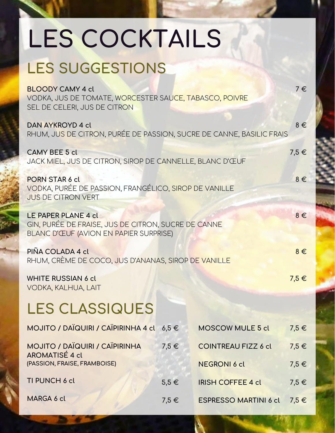# **LES COCKTAILS**

## **LES SUGGESTIONS**

**BLOODY CAMY 4 cl** VODKA, JUS DE TOMATE, WORCESTER SAUCE, TABASCO, POIVRE SEL DE CELERI, JUS DE CITRON **DAN AYKROYD 4 cl** RHUM, JUS DE CITRON, PURÉE DE PASSION, SUCRE DE CANNE, BASILIC FRAIS **CAMY BEE 5 cl** JACK MIEL, JUS DE CITRON, SIROP DE CANNELLE, BLANC D'ŒUF **PORN STAR 6 cl** VODKA, PURÉE DE PASSION, FRANGÉLICO, SIROP DE VANILLE JUS DE CITRON VERT **LE PAPER PLANE 4 cl** GIN, PURÉE DE FRAISE, JUS DE CITRON, SUCRE DE CANNE BLANC D'ŒUF (AVION EN PAPIER SURPRISE) **PIÑA COLADA 4 cl** RHUM, CRÈME DE COCO, JUS D'ANANAS, SIROP DE VANILLE **WHITE RUSSIAN 6 cl** VODKA, KALHUA, LAIT **MOJITO / DAÏQUIRI / CAÏPIRINHA 4 cl 6,5 € MOJITO / DAÏQUIRI / CAÏPIRINHA AROMATISÉ 4 cl (PASSION, FRAISE, FRAMBOISE) TI PUNCH 6 cl MARGA 6 cl LES CLASSIQUES MOSCOW MULE 5 cl COINTREAU FIZZ 6 cl NEGRONI 6 cl IRISH COFFEE 4 cl ESPRESSO MARTINI 6 cl 7,5 € 5,5 € 7,5 € 7,5 € 7,5 € 7,5 € 7,5 € 7,5 € 7 € 8 € 7,5 € 8 € 8 € 8 € 7,5 €**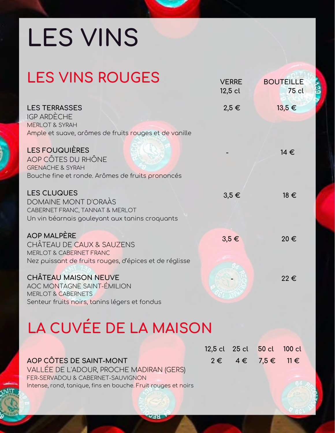# **LES VINS**

| <b>LES VINS ROUGES</b>                                                                                                                                     | <b>VERRE</b><br>$12,5$ cl | <b>BOUTEILLE</b><br>75 cl |
|------------------------------------------------------------------------------------------------------------------------------------------------------------|---------------------------|---------------------------|
| <b>LES TERRASSES</b><br><b>IGP ARDÈCHE</b><br><b>MERLOT &amp; SYRAH</b><br>Ample et suave, arômes de fruits rouges et de vanille                           | $2,5 \in$                 | 13,5 €                    |
| <b>LES FOUQUIÈRES</b><br>AOP CÔTES DU RHÔNE<br><b>GRENACHE &amp; SYRAH</b><br>Bouche fine et ronde. Arômes de fruits prononcés                             |                           | 14 €                      |
| <b>LES CLUQUES</b><br>DOMAINE MONT D'ORAÀS<br>CABERNET FRANC, TANNAT & MERLOT<br>Un vin béarnais gouleyant aux tanins croquants                            | $3,5 \in$                 | 18 €                      |
| <b>AOP MALPÈRE</b><br><b>CHÂTEAU DE CAUX &amp; SAUZENS</b><br><b>MERLOT &amp; CABERNET FRANC</b><br>Nez puissant de fruits rouges, d'épices et de réglisse | $3,5 \in$                 | 20€                       |
| <b>CHÂTEAU MAISON NEUVE</b><br><b>AOC MONTAGNE SAINT-ÉMILION</b><br><b>MERLOT &amp; CABERNETS</b><br>Senteur fruits noirs, tanins légers et fondus         |                           | 22€                       |

## **LA CUVÉE DE LA MAISON**

|                                                               | 12.5 CL 25 CL 50 CL |                                          |
|---------------------------------------------------------------|---------------------|------------------------------------------|
| AOP CÔTES DE SAINT-MONT                                       |                     | $2 \epsilon$ $4 \epsilon$ $7.5 \epsilon$ |
| VALLÉE DE L'ADOUR, PROCHE MADIRAN (GERS)                      |                     |                                          |
| FER-SERVADOU & CABERNET-SAUVIGNON                             |                     |                                          |
| Intense, rond, tanique, fins en bouche. Fruit rouges et noirs |                     |                                          |

**100 cl** 

**11€**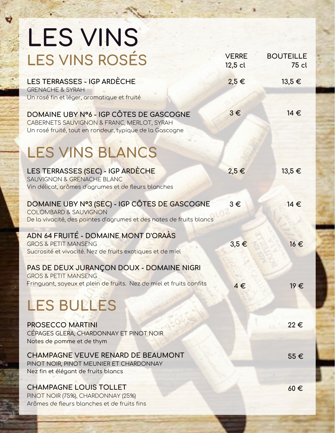| <b>LES VINS</b>                                                                                                                                          |                           |                           |
|----------------------------------------------------------------------------------------------------------------------------------------------------------|---------------------------|---------------------------|
| <b>LES VINS ROSÉS</b>                                                                                                                                    | <b>VERRE</b><br>$12,5$ cl | <b>BOUTEILLE</b><br>75 cl |
| LES TERRASSES - IGP ARDÈCHE<br><b>GRENACHE &amp; SYRAH</b><br>Un rosé fin et léger, aromatique et fruité                                                 | $2,5 \in$                 | 13,5 €                    |
| DOMAINE UBY Nº6 - IGP CÔTES DE GASCOGNE<br>CABERNETS SAUVIGNON & FRANC, MERLOT, SYRAH<br>Un rosé fruité, tout en rondeur, typique de la Gascogne         | $3 \in$                   | 14 €                      |
| <b>LES VINS BLANCS</b>                                                                                                                                   |                           |                           |
| LES TERRASSES (SEC) - IGP ARDÈCHE<br>SAUVIGNON & GRENACHE BLANC<br>Vin délicat, arômes d'agrumes et de fleurs blanches                                   | 2,5 €                     | 13,5 €                    |
| DOMAINE UBY Nº3 (SEC) - IGP CÔTES DE GASCOGNE<br><b>COLOMBARD &amp; SAUVIGNON</b><br>De la vivacité, des pointes d'agrumes et des notes de fruits blancs | $3 \in$                   | 14€                       |
| ADN 64 FRUITÉ - DOMAINE MONT D'ORAÀS<br><b>GROS &amp; PETIT MANSENG</b><br>Sucrosité et vivocité. Nez de fruits exotiques et de miel                     | $3,5 \in$                 | 16€                       |
| PAS DE DEUX JURANÇON DOUX - DOMAINE NIGRI<br><b>GROS &amp; PETIT MANSENG</b><br>Fringuant, soyeux et plein de fruits. Nez de miel et fruits confits      | $4 \in$                   | 19€                       |
| <b>LES BULLES</b>                                                                                                                                        |                           |                           |
| <b>PROSECCO MARTINI</b><br>CÉPAGES GLERA, CHARDONNAY ET PINOT NOIR<br>Notes de pomme et de thym                                                          |                           | 22€                       |
| CHAMPAGNE VEUVE RENARD DE BEAUMONT<br>PINOT NOIR, PINOT MEUNIER ET CHARDONNAY<br>Nez fin et élégant de fruits blancs                                     |                           | 55€                       |
| <b>CHAMPAGNE LOUIS TOLLET</b><br>PINOT NOIR (75%), CHARDONNAY (25%)<br>Arômes de fleurs blanches et de fruits fins                                       |                           | $60 \in$                  |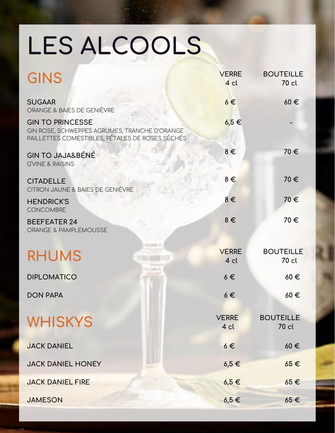# **LES ALCOOLS**

| <b>GINS</b>                                                                                                                 | <b>VERRE</b><br>4 cl | <b>BOUTEILLE</b><br>70 cl |
|-----------------------------------------------------------------------------------------------------------------------------|----------------------|---------------------------|
| <b>SUGAAR</b><br>ORANGE & BAIES DE GENIÈVRE                                                                                 | $6 \in$              | 60€                       |
| <b>GIN TO PRINCESSE</b><br>GIN ROSE, SCHWEPPES AGRUMES, TRANCHE D'ORANGE<br>PAILLETTES COMESTIBLES, PÉTALES DE ROSES SÉCHÉS | $6,5 \in$            |                           |
| <b>GIN TO JAJA&amp;BÉNÉ</b><br><b>G'VINE &amp; RAISINS</b>                                                                  | $8 \in$              | 70€                       |
| <b>CITADELLE</b><br>CITRON JAUNE & BAIES DE GENIÈVRE                                                                        | $8 \in$              | 70€                       |
| <b>HENDRICK'S</b><br><b>CONCOMBRE</b>                                                                                       | $8 \in$              | 70€                       |
| <b>BEEFEATER 24</b><br>ORANGE & PAMPLEMOUSSE                                                                                | $8 \in$              | 70€                       |
| <b>RHUMS</b>                                                                                                                | <b>VERRE</b><br>4 cl | <b>BOUTEILLE</b><br>70 cl |
| <b>DIPLOMATICO</b>                                                                                                          | $6 \in$              | 60€                       |
| <b>DON PAPA</b>                                                                                                             | $6 \in$              | $60 \in$                  |
| <b>WHISKYS</b>                                                                                                              | <b>VERRE</b><br>4 cl | <b>BOUTEILLE</b><br>70 cl |
| <b>JACK DANIEL</b>                                                                                                          | $6 \in$              | $60 \in$                  |
| <b>JACK DANIEL HONEY</b>                                                                                                    | $6,5 \in$            | $65 \in$                  |
| <b>JACK DANIEL FIRE</b>                                                                                                     | $6,5 \in$            | $65 \in$                  |
| <b>JAMESON</b>                                                                                                              | $6,5 \in$            | $65 \in$                  |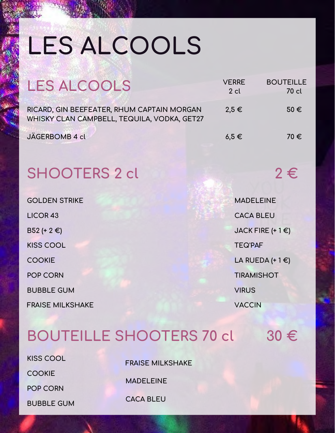# **LES ALCOOLS**

| LES ALCOOLS                                                                               | <b>VERRE</b><br>$2$ cl | <b>BOUTEILLE</b><br>70 cl |
|-------------------------------------------------------------------------------------------|------------------------|---------------------------|
| RICARD, GIN BEEFEATER, RHUM CAPTAIN MORGAN<br>WHISKY CLAN CAMPBELL, TEQUILA, VODKA, GET27 | $2.5 \in$              | $50 \in$                  |
| JÄGERBOMB 4 cl                                                                            | $6.5 \in$              | 70€                       |

## **SHOOTERS 2 cl 2 €**

| <b>GOLDEN STRIKE</b>    |
|-------------------------|
| <b>LICOR 43</b>         |
| B52 (+ 2 €)             |
| <b>KISS COOL</b>        |
| <b>COOKIE</b>           |
| <b>POP CORN</b>         |
| <b>BUBBLE GUM</b>       |
| <b>FRAISE MILKSHAKE</b> |

| <b>MADELEINE</b>          |
|---------------------------|
| <b>CACA BLEU</b>          |
| JACK FIRE $(+1)$          |
| <b>TEQ'PAF</b>            |
| LA RUEDA (+1 $\epsilon$ ) |
| <b>TIRAMISHOT</b>         |
| <b>VIRUS</b>              |
| <b>VACCIN</b>             |

#### **BOUTEILLE SHOOTERS 70 cl 30 €**

**KISS COOL**

**FRAISE MILKSHAKE**

**COOKIE**

**POP CORN**

**BUBBLE GUM**

**MADELEINE**

**CACA BLEU**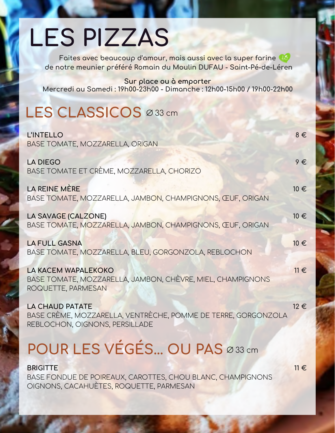## **LES PIZZAS**

**Faites avec beaucoup d'amour, mais aussi avec la super farine de notre meunier préféré Romain du Moulin DUFAU - Saint-Pé-de-Léren**

**Sur place ou à emporter Mercredi au Samedi : 19h00-23h00 - Dimanche : 12h00-15h00 / 19h00-22h00**

## **LES CLASSICOS** Ø 33 cm

| <b>L'INTELLO</b><br>BASE TOMATE, MOZZARELLA, ORIGAN                                                                       | $8 \in$  |
|---------------------------------------------------------------------------------------------------------------------------|----------|
| <b>LA DIEGO</b><br>BASE TOMATE ET CRÈME, MOZZARELLA, CHORIZO                                                              | $9 \in$  |
| LA REINE MÈRE<br>BASE TOMATE, MOZZARELLA, JAMBON, CHAMPIGNONS, ŒUF, ORIGAN                                                | 10€      |
| LA SAVAGE (CALZONE)<br>BASE TOMATE, MOZZARELLA, JAMBON, CHAMPIGNONS, ŒUF, ORIGAN                                          | 10 €     |
| <b>LA FULL GASNA</b><br>BASE TOMATE, MOZZARELLA, BLEU, GORGONZOLA, REBLOCHON                                              | 10€      |
| <b>LA KACEM WAPALEKOKO</b><br>BASE TOMATE, MOZZARELLA, JAMBON, CHÈVRE, MIEL, CHAMPIGNONS<br>ROQUETTE, PARMESAN            | $11 \in$ |
| <b>LA CHAUD PATATE</b><br>BASE CRÈME, MOZZARELLA, VENTRÈCHE, POMME DE TERRE, GORGONZOLA<br>REBLOCHON, OIGNONS, PERSILLADE | $12 \in$ |
| POUR LES VÉGÉS OU PAS Ø33 cm                                                                                              |          |

**BRIGITTE** BASE FONDUE DE POIREAUX, CAROTTES, CHOU BLANC, CHAMPIGNONS OIGNONS, CACAHUÈTES, ROQUETTE, PARMESAN

**11 €**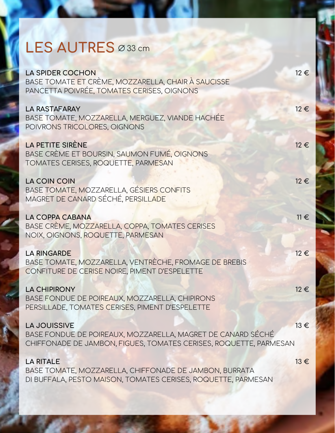#### **LES AUTRES** Ø 33 cm

| <b>LA SPIDER COCHON</b><br>BASE TOMATE ET CRÈME, MOZZARELLA, CHAIR À SAUCISSE<br>PANCETTA POIVRÉE, TOMATES CERISES, OIGNONS                             | 12€      |
|---------------------------------------------------------------------------------------------------------------------------------------------------------|----------|
| <b>LA RASTAFARAY</b><br>BASE TOMATE, MOZZARELLA, MERGUEZ, VIANDE HACHÉE<br>POIVRONS TRICOLORES, OIGNONS                                                 | $12 \in$ |
| <b>LA PETITE SIRÈNE</b><br>BASE CRÈME ET BOURSIN, SAUMON FUMÉ, OIGNONS<br>TOMATES CERISES, ROQUETTE, PARMESAN                                           | $12 \in$ |
| LA COIN COIN<br>BASE TOMATE, MOZZARELLA, GÉSIERS CONFITS<br>MAGRET DE CANARD SÉCHÉ, PERSILLADE                                                          | $12 \in$ |
| <b>LA COPPA CABANA</b><br>BASE CRÈME, MOZZARELLA, COPPA, TOMATES CERISES<br>NOIX, OIGNONS, ROQUETTE, PARMESAN                                           | $11 \in$ |
| <b>LA RINGARDE</b><br>BASE TOMATE, MOZZARELLA, VENTRÈCHE, FROMAGE DE BREBIS<br>CONFITURE DE CERISE NOIRE, PIMENT D'ESPELETTE                            | $12 \in$ |
| <b>LA CHIPIRONY</b><br>BASE FONDUE DE POIREAUX, MOZZARELLA, CHIPIRONS<br>PERSILLADE, TOMATES CERISES, PIMENT D'ESPELETTE                                | $12 \in$ |
| <b>LA JOUISSIVE</b><br>BASE FONDUE DE POIREAUX, MOZZARELLA, MAGRET DE CANARD SÉCHÉ<br>CHIFFONADE DE JAMBON, FIGUES, TOMATES CERISES, ROQUETTE, PARMESAN | 13€      |
| <b>LA RITALE</b><br>BASE TOMATE, MOZZARELLA, CHIFFONADE DE JAMBON, BURRATA<br>DI BUFFALA, PESTO MAISON, TOMATES CERISES, ROQUETTE, PARMESAN             | $13 \in$ |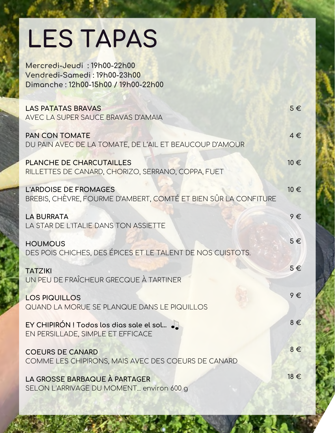## **LES TAPAS**

**LAS PATATAS BRAVAS** AVEC LA SUPER SAUCE BRAVAS D'AMAIA **PAN CON TOMATE** DU PAIN AVEC DE LA TOMATE, DE L'AIL ET BEAUCOUP D'AMOUR **PLANCHE DE CHARCUTAILLES** RILLETTES DE CANARD, CHORIZO, SERRANO, COPPA, FUET **L'ARDOISE DE FROMAGES**  BREBIS, CHÈVRE, FOURME D'AMBERT, COMTÉ ET BIEN SÛR LA CONFITURE **LA BURRATA** LA STAR DE L'ITALIE DANS TON ASSIETTE **HOUMOUS** DES POIS CHICHES, DES ÉPICES ET LE TALENT DE NOS CUISTOTS. **TATZIKI** UN PEU DE FRAÎCHEUR GRECQUE À TARTINER **LOS PIQUILLOS**  QUAND LA MORUE SE PLANQUE DANS LE PIQUILLOS **EY CHIPIRÓN ! Todos los dias sale el sol…** EN PERSILLADE, SIMPLE ET EFFICACE **COEURS DE CANARD** COMME LES CHIPIRONS, MAIS AVEC DES COEURS DE CANARD **LA GROSSE BARBAQUE À PARTAGER** SELON L'ARRIVAGE DU MOMENT... environ 600 g **5 € 4 € 10 € 10 € 9 € 5 € 5 € 9 € 8 € 8 € 18 € Mercredi-Jeudi : 19h00-22h00 Vendredi-Samedi : 19h00-23h00 Dimanche : 12h00-15h00 / 19h00-22h00**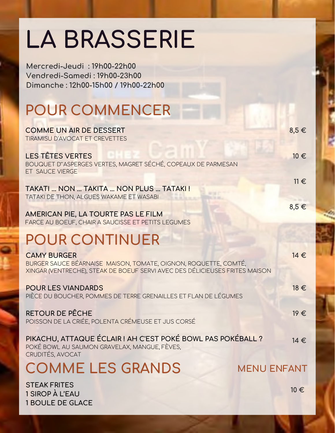## **LA BRASSERIE**

**Mercredi-Jeudi : 19h00-22h00**

**COMME UN AIR DE DESSERT**  TIRAMISU D'AVOCAT ET CREVETTES **LES TÊTES VERTES** BOUQUET D'´ASPERGES VERTES, MAGRET SÉCHÉ, COPEAUX DE PARMESAN ET SAUCE VIERGE **TAKATI ... NON ... TAKITA ... NON PLUS ... TATAKI !**  TATAKI DE THON, ALGUES WAKAME ET WASABI **AMERICAN PIE, LA TOURTE PAS LE FILM** FARCE AU BOEUF, CHAIR A SAUCISSE ET PETITS LEGUMES **POUR COMMENCER POUR CONTINUER CAMY BURGER** BURGER SAUCE BÉARNAISE MAISON, TOMATE, OIGNON, ROQUETTE, COMTÉ, XINGAR (VENTRECHE), STEAK DE BOEUF SERVI AVEC DES DÉLICIEUSES FRITES MAISON **POUR LES VIANDARDS** PIÈCE DU BOUCHER, POMMES DE TERRE GRENAILLES ET FLAN DE LÉGUMES **RETOUR DE PÊCHE** POISSON DE LA CRIÉE, POLENTA CRÉMEUSE ET JUS CORSÉ **PIKACHU, ATTAQUE ÉCLAIR ! AH C'EST POKÉ BOWL PAS POKÉBALL ?** POKÉ BOWL AU SAUMON GRAVELAX, MANGUE, FÈVES, CRUDITÉS, AVOCAT **8,5 € 10 € 11 € 8,5 € COMME LES GRANDS STEAK FRITES 1 SIROP À L'EAU 1 BOULE DE GLACE 14 € 18 € 19 € 14 € 10 € MENU ENFANT Vendredi-Samedi : 19h00-23h00 Dimanche : 12h00-15h00 / 19h00-22h00**